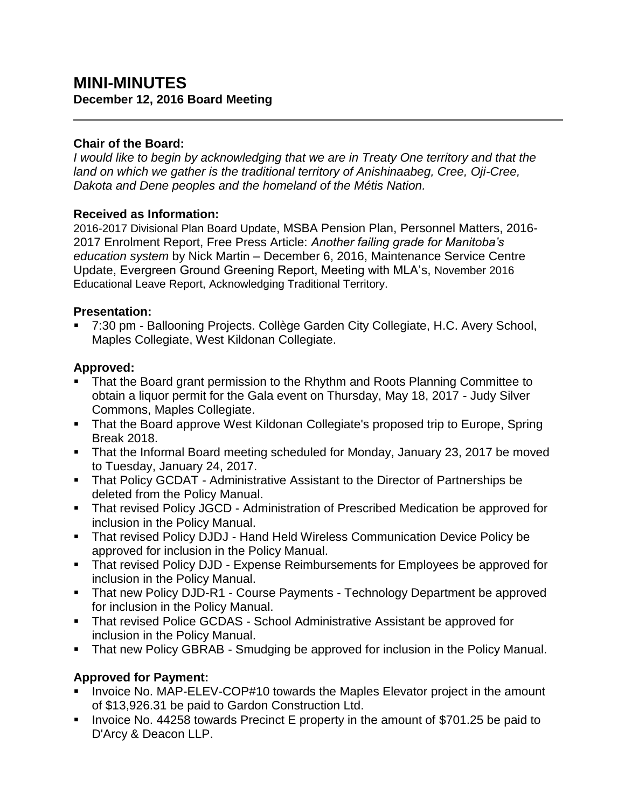# **MINI-MINUTES December 12, 2016 Board Meeting**

### **Chair of the Board:**

*I would like to begin by acknowledging that we are in Treaty One territory and that the land on which we gather is the traditional territory of Anishinaabeg, Cree, Oji-Cree, Dakota and Dene peoples and the homeland of the Métis Nation.*

#### **Received as Information:**

2016-2017 Divisional Plan Board Update, MSBA Pension Plan, Personnel Matters, 2016- 2017 Enrolment Report, Free Press Article: *Another failing grade for Manitoba's education system* by Nick Martin – December 6, 2016, Maintenance Service Centre Update, Evergreen Ground Greening Report, Meeting with MLA's, November 2016 Educational Leave Report, Acknowledging Traditional Territory.

#### **Presentation:**

 7:30 pm - Ballooning Projects. Collège Garden City Collegiate, H.C. Avery School, Maples Collegiate, West Kildonan Collegiate.

#### **Approved:**

- That the Board grant permission to the Rhythm and Roots Planning Committee to obtain a liquor permit for the Gala event on Thursday, May 18, 2017 - Judy Silver Commons, Maples Collegiate.
- That the Board approve West Kildonan Collegiate's proposed trip to Europe, Spring Break 2018.
- That the Informal Board meeting scheduled for Monday, January 23, 2017 be moved to Tuesday, January 24, 2017.
- That Policy GCDAT Administrative Assistant to the Director of Partnerships be deleted from the Policy Manual.
- That revised Policy JGCD Administration of Prescribed Medication be approved for inclusion in the Policy Manual.
- **That revised Policy DJDJ Hand Held Wireless Communication Device Policy be** approved for inclusion in the Policy Manual.
- That revised Policy DJD Expense Reimbursements for Employees be approved for inclusion in the Policy Manual.
- **That new Policy DJD-R1 Course Payments Technology Department be approved** for inclusion in the Policy Manual.
- That revised Police GCDAS School Administrative Assistant be approved for inclusion in the Policy Manual.
- That new Policy GBRAB Smudging be approved for inclusion in the Policy Manual.

## **Approved for Payment:**

- **IDED** Invoice No. MAP-ELEV-COP#10 towards the Maples Elevator project in the amount of \$13,926.31 be paid to Gardon Construction Ltd.
- Invoice No. 44258 towards Precinct E property in the amount of \$701.25 be paid to D'Arcy & Deacon LLP.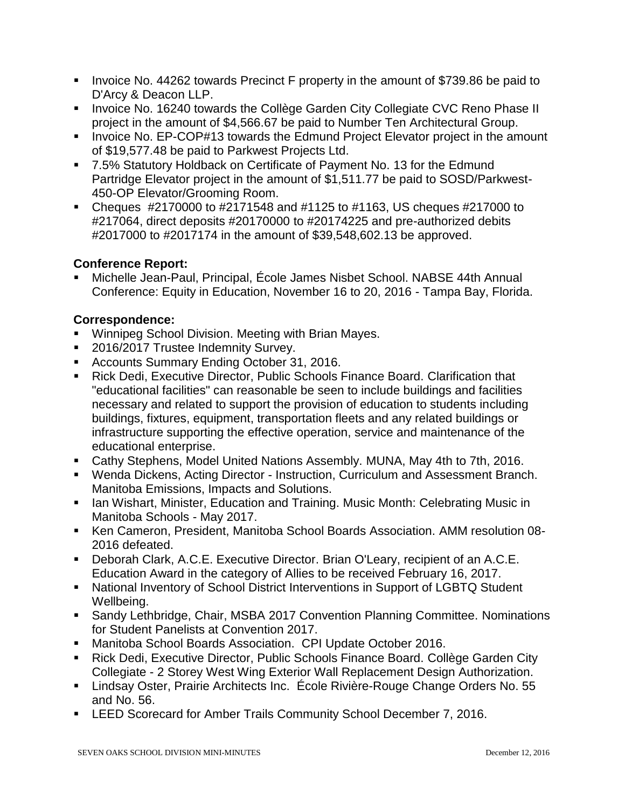- Invoice No. 44262 towards Precinct F property in the amount of \$739.86 be paid to D'Arcy & Deacon LLP.
- **IDED 16240 To Analy 20 Increde College Garden City Collegiate CVC Reno Phase II** project in the amount of \$4,566.67 be paid to Number Ten Architectural Group.
- Invoice No. EP-COP#13 towards the Edmund Project Elevator project in the amount of \$19,577.48 be paid to Parkwest Projects Ltd.
- 7.5% Statutory Holdback on Certificate of Payment No. 13 for the Edmund Partridge Elevator project in the amount of \$1,511.77 be paid to SOSD/Parkwest-450-OP Elevator/Grooming Room.
- Cheques  $\#2170000$  to  $\#2171548$  and  $\#1125$  to  $\#1163$ , US cheques  $\#217000$  to #217064, direct deposits #20170000 to #20174225 and pre-authorized debits #2017000 to #2017174 in the amount of \$39,548,602.13 be approved.

## **Conference Report:**

 Michelle Jean-Paul, Principal, École James Nisbet School. NABSE 44th Annual Conference: Equity in Education, November 16 to 20, 2016 - Tampa Bay, Florida.

#### **Correspondence:**

- **Winnipeg School Division. Meeting with Brian Mayes.**
- 2016/2017 Trustee Indemnity Survey.
- **Accounts Summary Ending October 31, 2016.**
- Rick Dedi, Executive Director, Public Schools Finance Board. Clarification that "educational facilities" can reasonable be seen to include buildings and facilities necessary and related to support the provision of education to students including buildings, fixtures, equipment, transportation fleets and any related buildings or infrastructure supporting the effective operation, service and maintenance of the educational enterprise.
- Cathy Stephens, Model United Nations Assembly. MUNA, May 4th to 7th, 2016.
- Wenda Dickens, Acting Director Instruction, Curriculum and Assessment Branch. Manitoba Emissions, Impacts and Solutions.
- **Ian Wishart, Minister, Education and Training. Music Month: Celebrating Music in** Manitoba Schools - May 2017.
- Ken Cameron, President, Manitoba School Boards Association. AMM resolution 08- 2016 defeated.
- Deborah Clark, A.C.E. Executive Director. Brian O'Leary, recipient of an A.C.E. Education Award in the category of Allies to be received February 16, 2017.
- National Inventory of School District Interventions in Support of LGBTQ Student Wellbeing.
- Sandy Lethbridge, Chair, MSBA 2017 Convention Planning Committee. Nominations for Student Panelists at Convention 2017.
- Manitoba School Boards Association. CPI Update October 2016.
- Rick Dedi, Executive Director, Public Schools Finance Board. Collège Garden City Collegiate - 2 Storey West Wing Exterior Wall Replacement Design Authorization.
- Lindsay Oster, Prairie Architects Inc. École Rivière-Rouge Change Orders No. 55 and No. 56.
- **EXELGE SCORECARD FOR AMBER TRAILS COMMUNITY School December 7, 2016.**